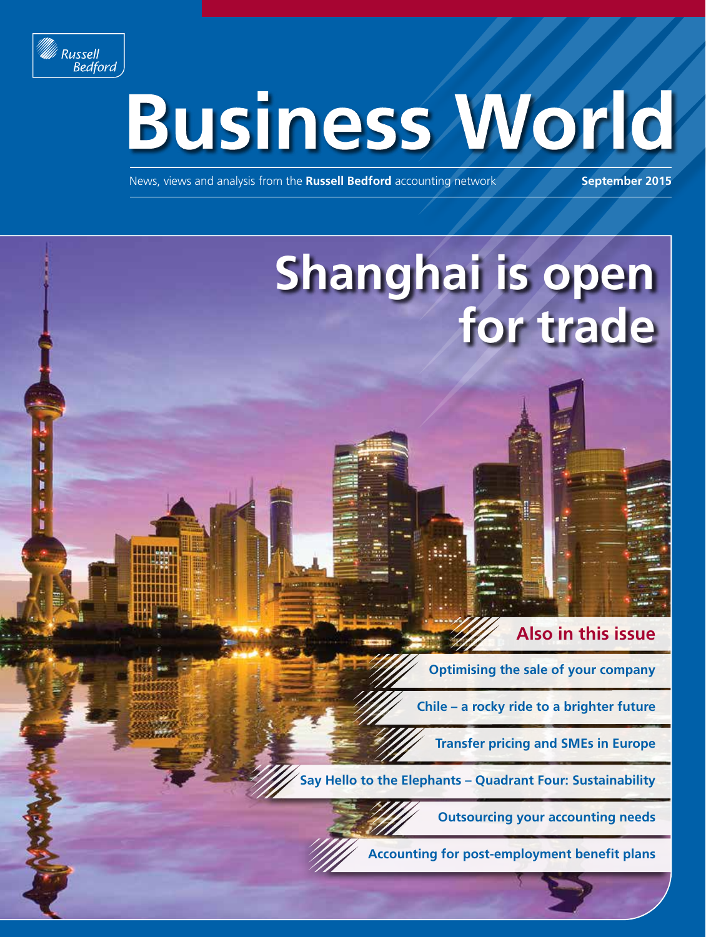

í

Ì

ï

# **Business World**

News, views and analysis from the **Russell Bedford** accounting network **September 2015**

## **Shanghai is open for trade**

#### **Also in this issue**

**Optimising the sale of your company**

**Chile – a rocky ride to a brighter future**

**Transfer pricing and SMEs in Europe**

**Say Hello to the Elephants – Quadrant Four: Sustainability**

**Outsourcing your accounting needs**



**Accounting for post-employment benefit plans**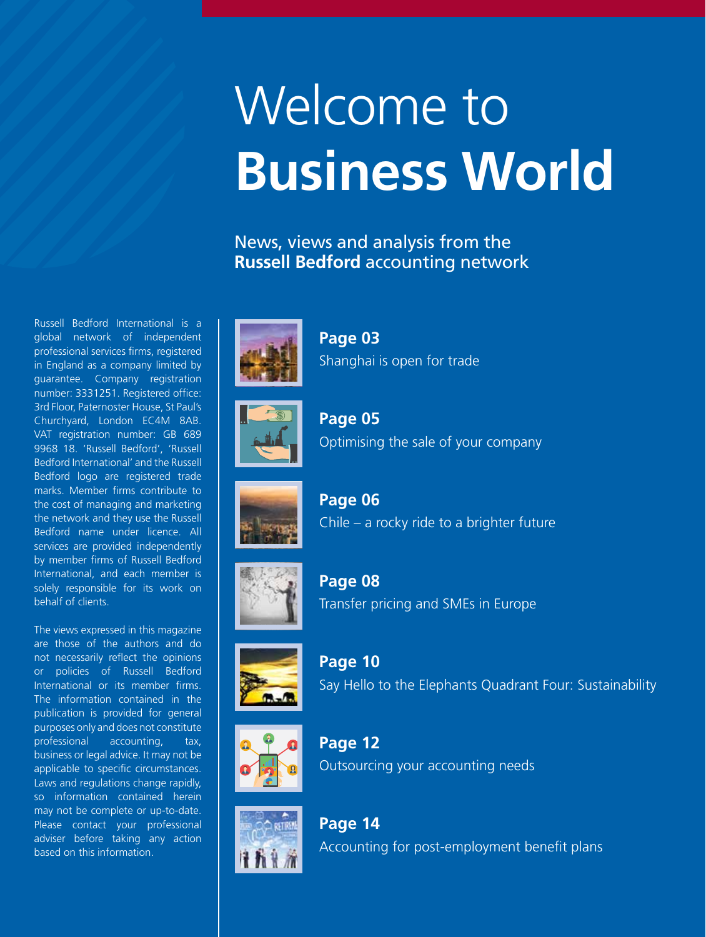# Welcome to **Business World**

#### News, views and analysis from the **Russell Bedford** accounting network

Russell Bedford International is a global network of independent professional services firms, registered in England as a company limited by guarantee. Company registration number: 3331251. Registered office: 3rd Floor, Paternoster House, St Paul's Churchyard, London EC4M 8AB. VAT registration number: GB 689 9968 18. 'Russell Bedford', 'Russell Bedford International' and the Russell Bedford logo are registered trade marks. Member firms contribute to the cost of managing and marketing the network and they use the Russell Bedford name under licence. All services are provided independently by member firms of Russell Bedford International, and each member is solely responsible for its work on behalf of clients.

The views expressed in this magazine are those of the authors and do not necessarily reflect the opinions or policies of Russell Bedford International or its member firms. The information contained in the publication is provided for general purposes only and does not constitute professional accounting, tax, business or legal advice. It may not be applicable to specific circumstances. Laws and regulations change rapidly, so information contained herein may not be complete or up-to-date. Please contact your professional adviser before taking any action based on this information.



**Page 03** Shanghai is open for trade



**Page 05** Optimising the sale of your company



**Page 06** Chile – a rocky ride to a brighter future



**Page 08** Transfer pricing and SMEs in Europe



**Page 10** Say Hello to the Elephants Quadrant Four: Sustainability



**Page 12** Outsourcing your accounting needs



**Page 14** Accounting for post-employment benefit plans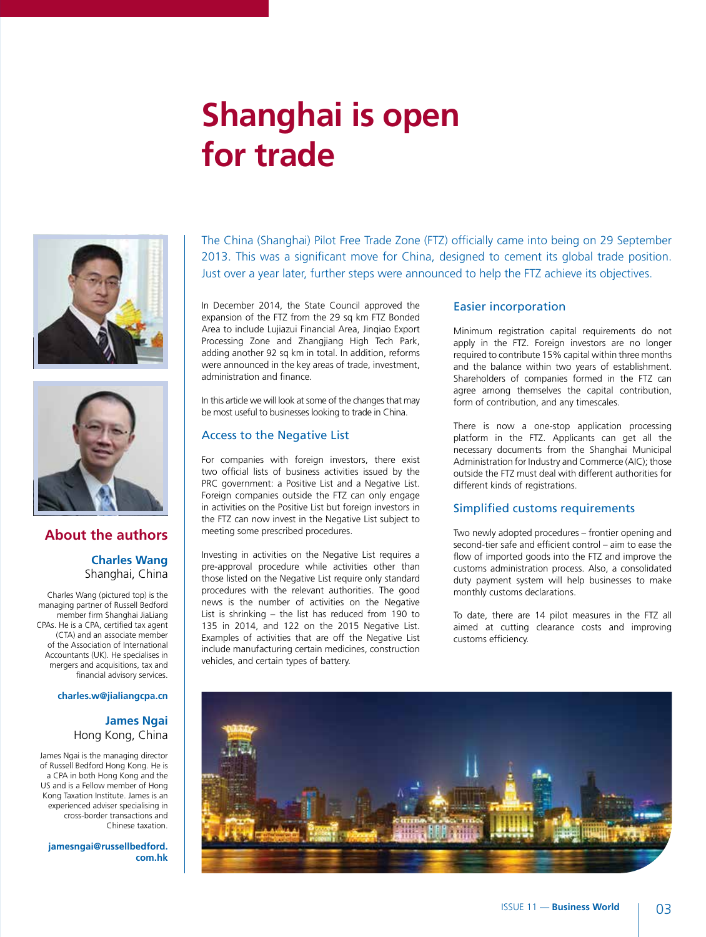### **Shanghai is open for trade**





#### **About the authors**

#### **Charles Wang** Shanghai, China

Charles Wang (pictured top) is the managing partner of Russell Bedford member firm Shanghai JiaLiang CPAs. He is a CPA, certified tax agent (CTA) and an associate member of the Association of International Accountants (UK). He specialises in mergers and acquisitions, tax and financial advisory services.

#### **charles.w@jialiangcpa.cn**

#### **James Ngai** Hong Kong, China

James Ngai is the managing director of Russell Bedford Hong Kong. He is a CPA in both Hong Kong and the US and is a Fellow member of Hong Kong Taxation Institute. James is an experienced adviser specialising in cross-border transactions and Chinese taxation.

**jamesngai@russellbedford. com.hk** The China (Shanghai) Pilot Free Trade Zone (FTZ) officially came into being on 29 September 2013. This was a significant move for China, designed to cement its global trade position. Just over a year later, further steps were announced to help the FTZ achieve its objectives.

In December 2014, the State Council approved the expansion of the FTZ from the 29 sq km FTZ Bonded Area to include Lujiazui Financial Area, Jinqiao Export Processing Zone and Zhangjiang High Tech Park, adding another 92 sq km in total. In addition, reforms were announced in the key areas of trade, investment, administration and finance.

In this article we will look at some of the changes that may be most useful to businesses looking to trade in China.

#### Access to the Negative List

For companies with foreign investors, there exist two official lists of business activities issued by the PRC government: a Positive List and a Negative List. Foreign companies outside the FTZ can only engage in activities on the Positive List but foreign investors in the FTZ can now invest in the Negative List subject to meeting some prescribed procedures.

Investing in activities on the Negative List requires a pre-approval procedure while activities other than those listed on the Negative List require only standard procedures with the relevant authorities. The good news is the number of activities on the Negative List is shrinking – the list has reduced from 190 to 135 in 2014, and 122 on the 2015 Negative List. Examples of activities that are off the Negative List include manufacturing certain medicines, construction vehicles, and certain types of battery.

#### Easier incorporation

Minimum registration capital requirements do not apply in the FTZ. Foreign investors are no longer required to contribute 15% capital within three months and the balance within two years of establishment. Shareholders of companies formed in the FTZ can agree among themselves the capital contribution, form of contribution, and any timescales.

There is now a one-stop application processing platform in the FTZ. Applicants can get all the necessary documents from the Shanghai Municipal Administration for Industry and Commerce (AIC); those outside the FTZ must deal with different authorities for different kinds of registrations.

#### Simplified customs requirements

Two newly adopted procedures – frontier opening and second-tier safe and efficient control – aim to ease the flow of imported goods into the FTZ and improve the customs administration process. Also, a consolidated duty payment system will help businesses to make monthly customs declarations.

To date, there are 14 pilot measures in the FTZ all aimed at cutting clearance costs and improving customs efficiency.

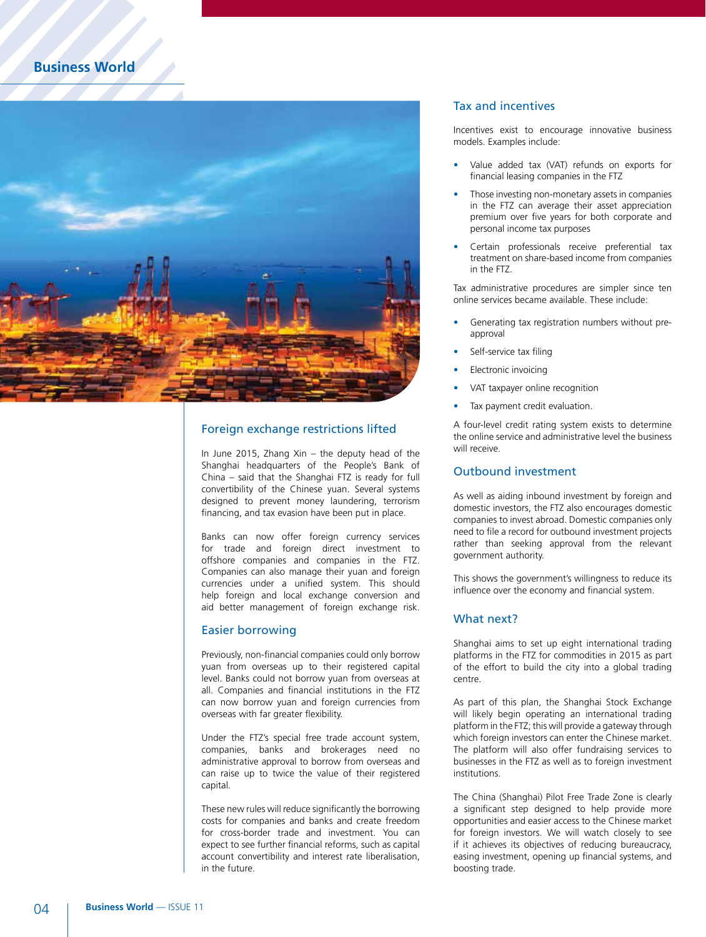

#### Foreign exchange restrictions lifted

In June 2015, Zhang Xin – the deputy head of the Shanghai headquarters of the People's Bank of China – said that the Shanghai FTZ is ready for full convertibility of the Chinese yuan. Several systems designed to prevent money laundering, terrorism financing, and tax evasion have been put in place.

Banks can now offer foreign currency services for trade and foreign direct investment to offshore companies and companies in the FTZ. Companies can also manage their yuan and foreign currencies under a unified system. This should help foreign and local exchange conversion and aid better management of foreign exchange risk.

#### Easier borrowing

Previously, non-financial companies could only borrow yuan from overseas up to their registered capital level. Banks could not borrow yuan from overseas at all. Companies and financial institutions in the FTZ can now borrow yuan and foreign currencies from overseas with far greater flexibility.

Under the FTZ's special free trade account system, companies, banks and brokerages need no administrative approval to borrow from overseas and can raise up to twice the value of their registered capital.

These new rules will reduce significantly the borrowing costs for companies and banks and create freedom for cross-border trade and investment. You can expect to see further financial reforms, such as capital account convertibility and interest rate liberalisation, in the future.

#### Tax and incentives

Incentives exist to encourage innovative business models. Examples include:

- Value added tax (VAT) refunds on exports for financial leasing companies in the FTZ
- Those investing non-monetary assets in companies in the FTZ can average their asset appreciation premium over five years for both corporate and personal income tax purposes
- Certain professionals receive preferential tax treatment on share-based income from companies in the FTZ.

Tax administrative procedures are simpler since ten online services became available. These include:

- Generating tax registration numbers without preapproval
- Self-service tax filing
- **Electronic invoicing**
- VAT taxpayer online recognition
- Tax payment credit evaluation.

A four-level credit rating system exists to determine the online service and administrative level the business will receive.

#### Outbound investment

As well as aiding inbound investment by foreign and domestic investors, the FTZ also encourages domestic companies to invest abroad. Domestic companies only need to file a record for outbound investment projects rather than seeking approval from the relevant government authority.

This shows the government's willingness to reduce its influence over the economy and financial system.

#### What next?

Shanghai aims to set up eight international trading platforms in the FTZ for commodities in 2015 as part of the effort to build the city into a global trading centre.

As part of this plan, the Shanghai Stock Exchange will likely begin operating an international trading platform in the FTZ; this will provide a gateway through which foreign investors can enter the Chinese market. The platform will also offer fundraising services to businesses in the FTZ as well as to foreign investment institutions.

The China (Shanghai) Pilot Free Trade Zone is clearly a significant step designed to help provide more opportunities and easier access to the Chinese market for foreign investors. We will watch closely to see if it achieves its objectives of reducing bureaucracy, easing investment, opening up financial systems, and boosting trade.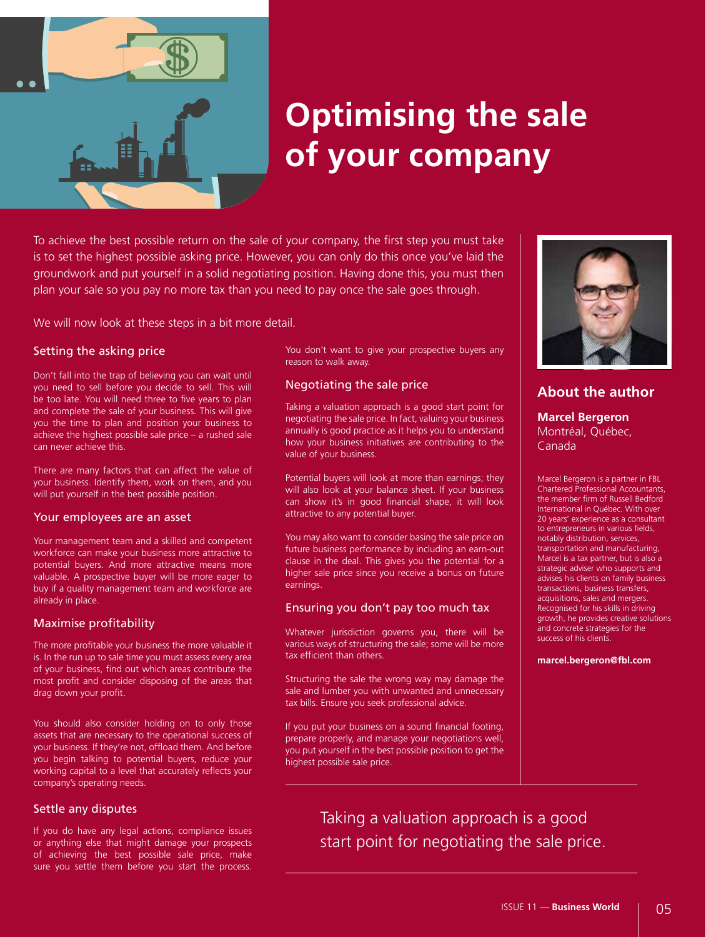

### **Optimising the sale of your company**

To achieve the best possible return on the sale of your company, the first step you must take is to set the highest possible asking price. However, you can only do this once you've laid the groundwork and put yourself in a solid negotiating position. Having done this, you must then plan your sale so you pay no more tax than you need to pay once the sale goes through.

We will now look at these steps in a bit more detail.

#### Setting the asking price

Don't fall into the trap of believing you can wait until you need to sell before you decide to sell. This will be too late. You will need three to five years to plan and complete the sale of your business. This will give you the time to plan and position your business to achieve the highest possible sale price – a rushed sale can never achieve this.

There are many factors that can affect the value of your business. Identify them, work on them, and you will put yourself in the best possible position.

#### Your employees are an asset

Your management team and a skilled and competent workforce can make your business more attractive to potential buyers. And more attractive means more valuable. A prospective buyer will be more eager to buy if a quality management team and workforce are already in place.

#### Maximise profitability

The more profitable your business the more valuable it is. In the run up to sale time you must assess every area of your business, find out which areas contribute the most profit and consider disposing of the areas that drag down your profit.

You should also consider holding on to only those assets that are necessary to the operational success of your business. If they're not, offload them. And before you begin talking to potential buyers, reduce your working capital to a level that accurately reflects your company's operating needs.

#### Settle any disputes

If you do have any legal actions, compliance issues or anything else that might damage your prospects of achieving the best possible sale price, make sure you settle them before you start the process. You don't want to give your prospective buyers any reason to walk away.

#### Negotiating the sale price

Taking a valuation approach is a good start point for negotiating the sale price. In fact, valuing your business annually is good practice as it helps you to understand how your business initiatives are contributing to the value of your business.

Potential buyers will look at more than earnings; they will also look at your balance sheet. If your business can show it's in good financial shape, it will look attractive to any potential buyer.

You may also want to consider basing the sale price on future business performance by including an earn-out clause in the deal. This gives you the potential for a higher sale price since you receive a bonus on future earnings.

#### Ensuring you don't pay too much tax

Whatever jurisdiction governs you, there will be various ways of structuring the sale; some will be more tax efficient than others.

Structuring the sale the wrong way may damage the sale and lumber you with unwanted and unnecessary tax bills. Ensure you seek professional advice.

If you put your business on a sound financial footing, prepare properly, and manage your negotiations well, you put yourself in the best possible position to get the highest possible sale price.



#### **About the author**

**Marcel Bergeron** Montréal, Québec, Canada

Marcel Bergeron is a partner in FBL Chartered Professional Accountants, the member firm of Russell Bedford International in Québec. With over 20 years' experience as a consultant to entrepreneurs in various fields, notably distribution, services, transportation and manufacturing, Marcel is a tax partner, but is also a strategic adviser who supports and advises his clients on family business transactions, business transfers, acquisitions, sales and mergers. Recognised for his skills in driving growth, he provides creative solutions and concrete strategies for the success of his clients.

**marcel.bergeron@fbl.com** 

Taking a valuation approach is a good start point for negotiating the sale price.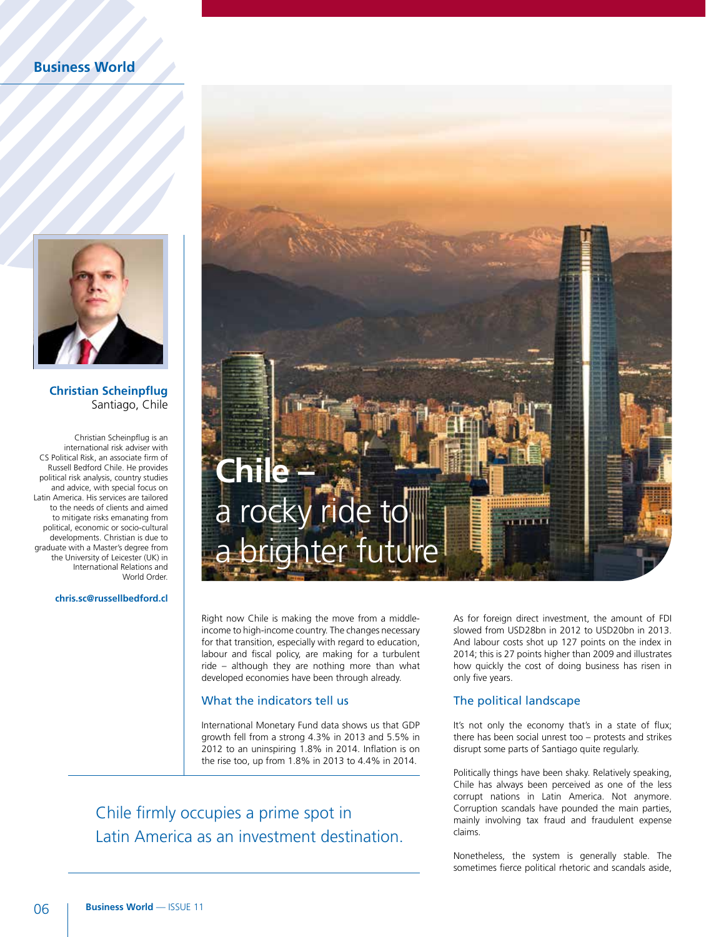

#### **Christian Scheinpflug**  Santiago, Chile

Christian Scheinpflug is an international risk adviser with CS Political Risk, an associate firm of Russell Bedford Chile. He provides political risk analysis, country studies and advice, with special focus on Latin America. His services are tailored to the needs of clients and aimed to mitigate risks emanating from political, economic or socio-cultural developments. Christian is due to graduate with a Master's degree from the University of Leicester (UK) in International Relations and World Order.

#### **chris.sc@russellbedford.cl**



Right now Chile is making the move from a middleincome to high-income country. The changes necessary for that transition, especially with regard to education, labour and fiscal policy, are making for a turbulent ride – although they are nothing more than what developed economies have been through already.

#### What the indicators tell us

International Monetary Fund data shows us that GDP growth fell from a strong 4.3% in 2013 and 5.5% in 2012 to an uninspiring 1.8% in 2014. Inflation is on the rise too, up from 1.8% in 2013 to 4.4% in 2014.

Chile firmly occupies a prime spot in Latin America as an investment destination. As for foreign direct investment, the amount of FDI slowed from USD28bn in 2012 to USD20bn in 2013. And labour costs shot up 127 points on the index in 2014; this is 27 points higher than 2009 and illustrates how quickly the cost of doing business has risen in only five years.

#### The political landscape

It's not only the economy that's in a state of flux; there has been social unrest too – protests and strikes disrupt some parts of Santiago quite regularly.

Politically things have been shaky. Relatively speaking, Chile has always been perceived as one of the less corrupt nations in Latin America. Not anymore. Corruption scandals have pounded the main parties, mainly involving tax fraud and fraudulent expense claims.

Nonetheless, the system is generally stable. The sometimes fierce political rhetoric and scandals aside,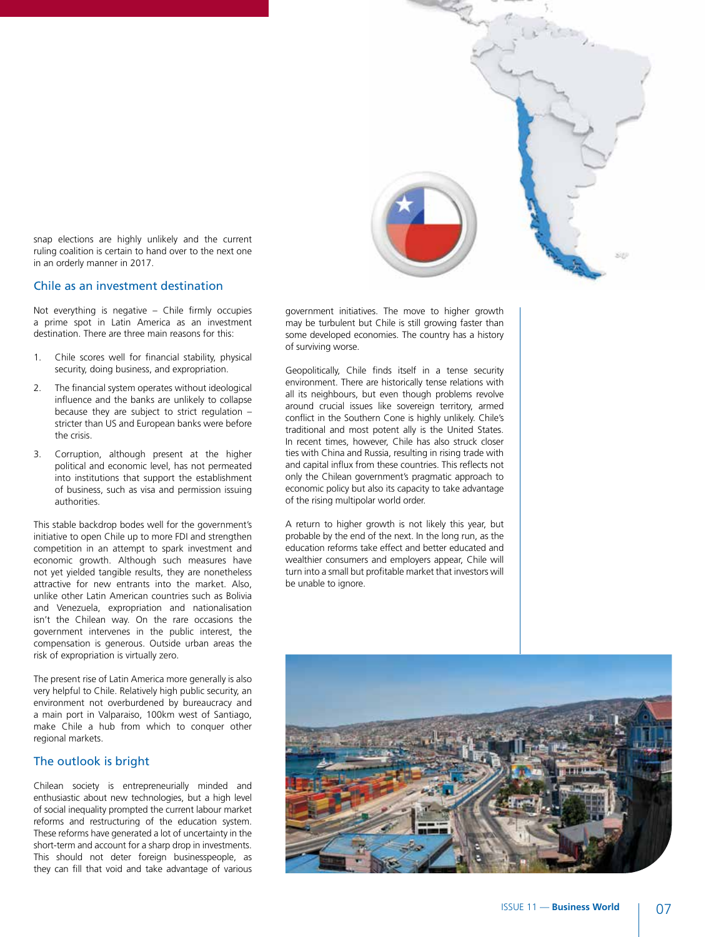

snap elections are highly unlikely and the current ruling coalition is certain to hand over to the next one in an orderly manner in 2017.

#### Chile as an investment destination

Not everything is negative – Chile firmly occupies a prime spot in Latin America as an investment destination. There are three main reasons for this:

- 1. Chile scores well for financial stability, physical security, doing business, and expropriation.
- 2. The financial system operates without ideological influence and the banks are unlikely to collapse because they are subject to strict regulation – stricter than US and European banks were before the crisis.
- 3. Corruption, although present at the higher political and economic level, has not permeated into institutions that support the establishment of business, such as visa and permission issuing authorities.

This stable backdrop bodes well for the government's initiative to open Chile up to more FDI and strengthen competition in an attempt to spark investment and economic growth. Although such measures have not yet yielded tangible results, they are nonetheless attractive for new entrants into the market. Also, unlike other Latin American countries such as Bolivia and Venezuela, expropriation and nationalisation isn't the Chilean way. On the rare occasions the government intervenes in the public interest, the compensation is generous. Outside urban areas the risk of expropriation is virtually zero.

The present rise of Latin America more generally is also very helpful to Chile. Relatively high public security, an environment not overburdened by bureaucracy and a main port in Valparaiso, 100km west of Santiago, make Chile a hub from which to conquer other regional markets.

#### The outlook is bright

Chilean society is entrepreneurially minded and enthusiastic about new technologies, but a high level of social inequality prompted the current labour market reforms and restructuring of the education system. These reforms have generated a lot of uncertainty in the short-term and account for a sharp drop in investments. This should not deter foreign businesspeople, as they can fill that void and take advantage of various

government initiatives. The move to higher growth may be turbulent but Chile is still growing faster than some developed economies. The country has a history of surviving worse.

Geopolitically, Chile finds itself in a tense security environment. There are historically tense relations with all its neighbours, but even though problems revolve around crucial issues like sovereign territory, armed conflict in the Southern Cone is highly unlikely. Chile's traditional and most potent ally is the United States. In recent times, however, Chile has also struck closer ties with China and Russia, resulting in rising trade with and capital influx from these countries. This reflects not only the Chilean government's pragmatic approach to economic policy but also its capacity to take advantage of the rising multipolar world order.

A return to higher growth is not likely this year, but probable by the end of the next. In the long run, as the education reforms take effect and better educated and wealthier consumers and employers appear, Chile will turn into a small but profitable market that investors will be unable to ignore.

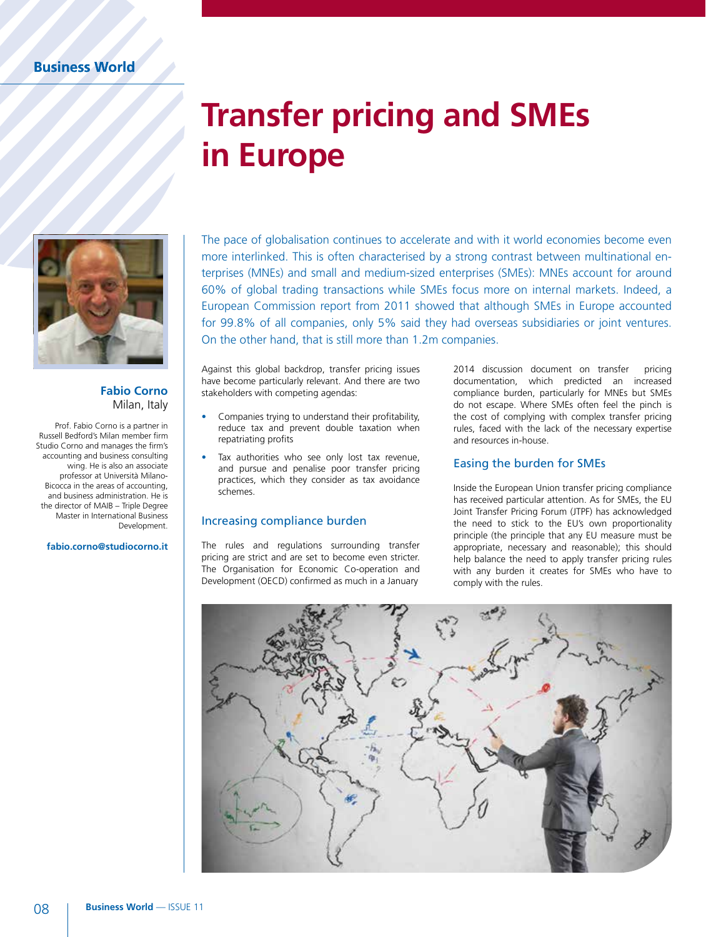### **Transfer pricing and SMEs in Europe**



#### **Fabio Corno** Milan, Italy

Prof. Fabio Corno is a partner in Russell Bedford's Milan member firm Studio Corno and manages the firm's accounting and business consulting wing. He is also an associate professor at Università Milano-Bicocca in the areas of accounting, and business administration. He is the director of MAIB – Triple Degree Master in International Business Development.

#### **fabio.corno@studiocorno.it**

The pace of globalisation continues to accelerate and with it world economies become even more interlinked. This is often characterised by a strong contrast between multinational enterprises (MNEs) and small and medium-sized enterprises (SMEs): MNEs account for around 60% of global trading transactions while SMEs focus more on internal markets. Indeed, a European Commission report from 2011 showed that although SMEs in Europe accounted for 99.8% of all companies, only 5% said they had overseas subsidiaries or joint ventures. On the other hand, that is still more than 1.2m companies.

Against this global backdrop, transfer pricing issues have become particularly relevant. And there are two stakeholders with competing agendas:

- Companies trying to understand their profitability, reduce tax and prevent double taxation when repatriating profits
- Tax authorities who see only lost tax revenue, and pursue and penalise poor transfer pricing practices, which they consider as tax avoidance schemes.

#### Increasing compliance burden

The rules and regulations surrounding transfer pricing are strict and are set to become even stricter. The Organisation for Economic Co-operation and Development (OECD) confirmed as much in a January

2014 discussion document on transfer pricing documentation, which predicted an increased compliance burden, particularly for MNEs but SMEs do not escape. Where SMEs often feel the pinch is the cost of complying with complex transfer pricing rules, faced with the lack of the necessary expertise and resources in-house.

#### Easing the burden for SMEs

Inside the European Union transfer pricing compliance has received particular attention. As for SMEs, the EU Joint Transfer Pricing Forum (JTPF) has acknowledged the need to stick to the EU's own proportionality principle (the principle that any EU measure must be appropriate, necessary and reasonable); this should help balance the need to apply transfer pricing rules with any burden it creates for SMEs who have to comply with the rules.

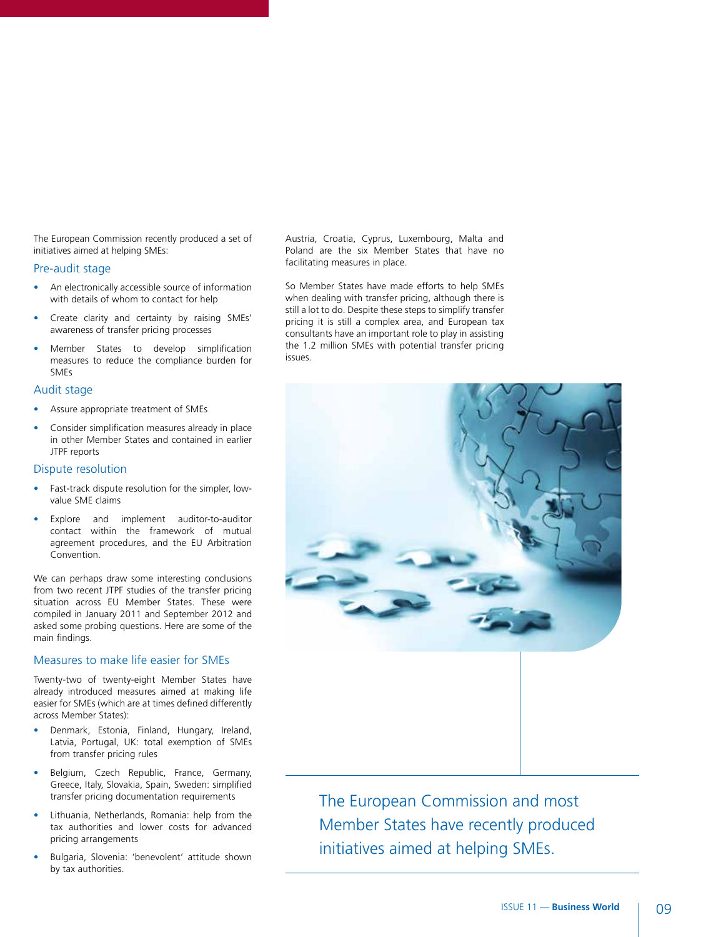The European Commission recently produced a set of initiatives aimed at helping SMEs:

#### Pre-audit stage

- An electronically accessible source of information with details of whom to contact for help
- Create clarity and certainty by raising SMEs' awareness of transfer pricing processes
- Member States to develop simplification measures to reduce the compliance burden for SMEs

#### Audit stage

- Assure appropriate treatment of SMEs
- Consider simplification measures already in place in other Member States and contained in earlier JTPF reports

#### Dispute resolution

- Fast-track dispute resolution for the simpler, lowvalue SME claims
- Explore and implement auditor-to-auditor contact within the framework of mutual agreement procedures, and the EU Arbitration Convention.

We can perhaps draw some interesting conclusions from two recent JTPF studies of the transfer pricing situation across EU Member States. These were compiled in January 2011 and September 2012 and asked some probing questions. Here are some of the main findings.

#### Measures to make life easier for SMEs

Twenty-two of twenty-eight Member States have already introduced measures aimed at making life easier for SMEs (which are at times defined differently across Member States):

- Denmark, Estonia, Finland, Hungary, Ireland, Latvia, Portugal, UK: total exemption of SMEs from transfer pricing rules
- Belgium, Czech Republic, France, Germany, Greece, Italy, Slovakia, Spain, Sweden: simplified transfer pricing documentation requirements
- Lithuania, Netherlands, Romania: help from the tax authorities and lower costs for advanced pricing arrangements
- Bulgaria, Slovenia: 'benevolent' attitude shown by tax authorities.

Austria, Croatia, Cyprus, Luxembourg, Malta and Poland are the six Member States that have no facilitating measures in place.

So Member States have made efforts to help SMEs when dealing with transfer pricing, although there is still a lot to do. Despite these steps to simplify transfer pricing it is still a complex area, and European tax consultants have an important role to play in assisting the 1.2 million SMEs with potential transfer pricing issues.



The European Commission and most Member States have recently produced initiatives aimed at helping SMEs.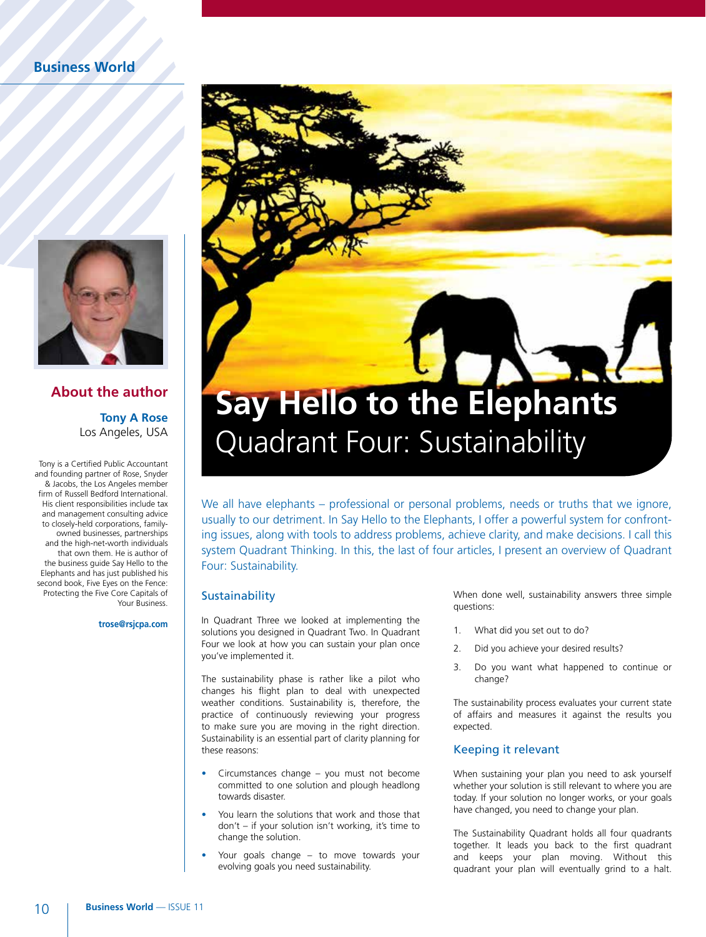

#### **About the author Tony A Rose**

Los Angeles, USA

Tony is a Certified Public Accountant and founding partner of Rose, Snyder & Jacobs, the Los Angeles member firm of Russell Bedford International. His client responsibilities include tax and management consulting advice to closely-held corporations, familyowned businesses, partnerships and the high-net-worth individuals that own them. He is author of the business guide Say Hello to the Elephants and has just published his second book, Five Eyes on the Fence: Protecting the Five Core Capitals of Your Business.

**trose@rsjcpa.com** 



We all have elephants – professional or personal problems, needs or truths that we ignore, usually to our detriment. In Say Hello to the Elephants, I offer a powerful system for confronting issues, along with tools to address problems, achieve clarity, and make decisions. I call this system Quadrant Thinking. In this, the last of four articles, I present an overview of Quadrant Four: Sustainability.

#### **Sustainability**

In Quadrant Three we looked at implementing the solutions you designed in Quadrant Two. In Quadrant Four we look at how you can sustain your plan once you've implemented it.

The sustainability phase is rather like a pilot who changes his flight plan to deal with unexpected weather conditions. Sustainability is, therefore, the practice of continuously reviewing your progress to make sure you are moving in the right direction. Sustainability is an essential part of clarity planning for these reasons:

- Circumstances change you must not become committed to one solution and plough headlong towards disaster.
- You learn the solutions that work and those that don't – if your solution isn't working, it's time to change the solution.
- Your goals change to move towards your evolving goals you need sustainability.

When done well, sustainability answers three simple questions:

- 1. What did you set out to do?
- 2. Did you achieve your desired results?
- 3. Do you want what happened to continue or change?

The sustainability process evaluates your current state of affairs and measures it against the results you expected.

#### Keeping it relevant

When sustaining your plan you need to ask yourself whether your solution is still relevant to where you are today. If your solution no longer works, or your goals have changed, you need to change your plan.

The Sustainability Quadrant holds all four quadrants together. It leads you back to the first quadrant and keeps your plan moving. Without this quadrant your plan will eventually grind to a halt.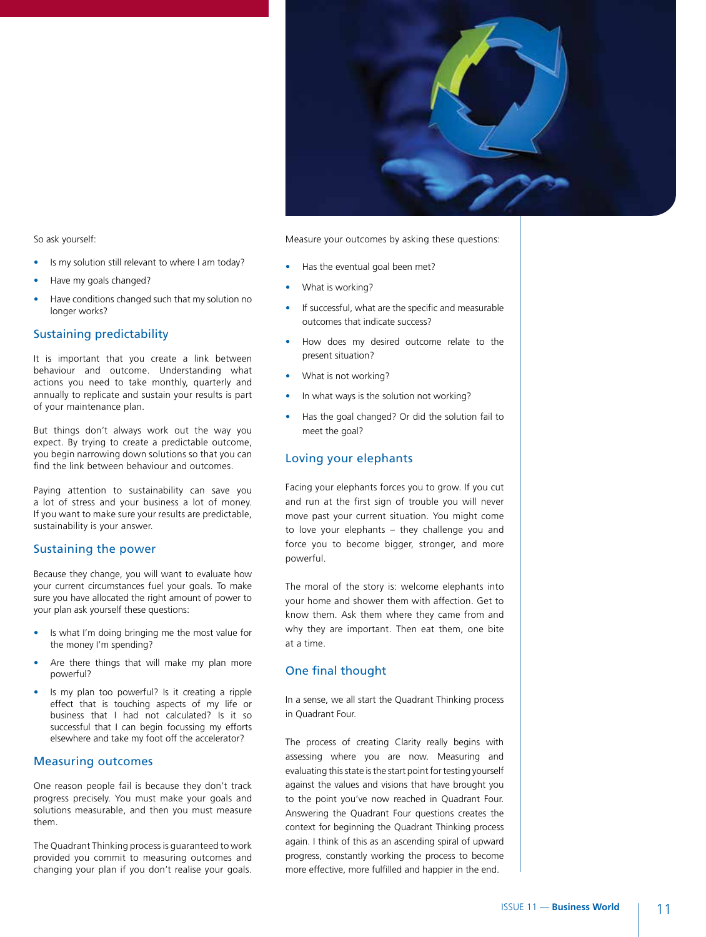

So ask yourself:

- Is my solution still relevant to where I am today?
- Have my goals changed?
- Have conditions changed such that my solution no longer works?

#### Sustaining predictability

It is important that you create a link between behaviour and outcome. Understanding what actions you need to take monthly, quarterly and annually to replicate and sustain your results is part of your maintenance plan.

But things don't always work out the way you expect. By trying to create a predictable outcome, you begin narrowing down solutions so that you can find the link between behaviour and outcomes.

Paying attention to sustainability can save you a lot of stress and your business a lot of money. If you want to make sure your results are predictable, sustainability is your answer.

#### Sustaining the power

Because they change, you will want to evaluate how your current circumstances fuel your goals. To make sure you have allocated the right amount of power to your plan ask yourself these questions:

- Is what I'm doing bringing me the most value for the money I'm spending?
- Are there things that will make my plan more powerful?
- Is my plan too powerful? Is it creating a ripple effect that is touching aspects of my life or business that I had not calculated? Is it so successful that I can begin focussing my efforts elsewhere and take my foot off the accelerator?

#### Measuring outcomes

One reason people fail is because they don't track progress precisely. You must make your goals and solutions measurable, and then you must measure them.

The Quadrant Thinking process is guaranteed to work provided you commit to measuring outcomes and changing your plan if you don't realise your goals.

Measure your outcomes by asking these questions:

- Has the eventual goal been met?
- What is working?
- If successful, what are the specific and measurable outcomes that indicate success?
- How does my desired outcome relate to the present situation?
- What is not working?
- In what ways is the solution not working?
- Has the goal changed? Or did the solution fail to meet the goal?

#### Loving your elephants

Facing your elephants forces you to grow. If you cut and run at the first sign of trouble you will never move past your current situation. You might come to love your elephants – they challenge you and force you to become bigger, stronger, and more powerful.

The moral of the story is: welcome elephants into your home and shower them with affection. Get to know them. Ask them where they came from and why they are important. Then eat them, one bite at a time.

#### One final thought

In a sense, we all start the Quadrant Thinking process in Quadrant Four.

The process of creating Clarity really begins with assessing where you are now. Measuring and evaluating this state is the start point for testing yourself against the values and visions that have brought you to the point you've now reached in Quadrant Four. Answering the Quadrant Four questions creates the context for beginning the Quadrant Thinking process again. I think of this as an ascending spiral of upward progress, constantly working the process to become more effective, more fulfilled and happier in the end.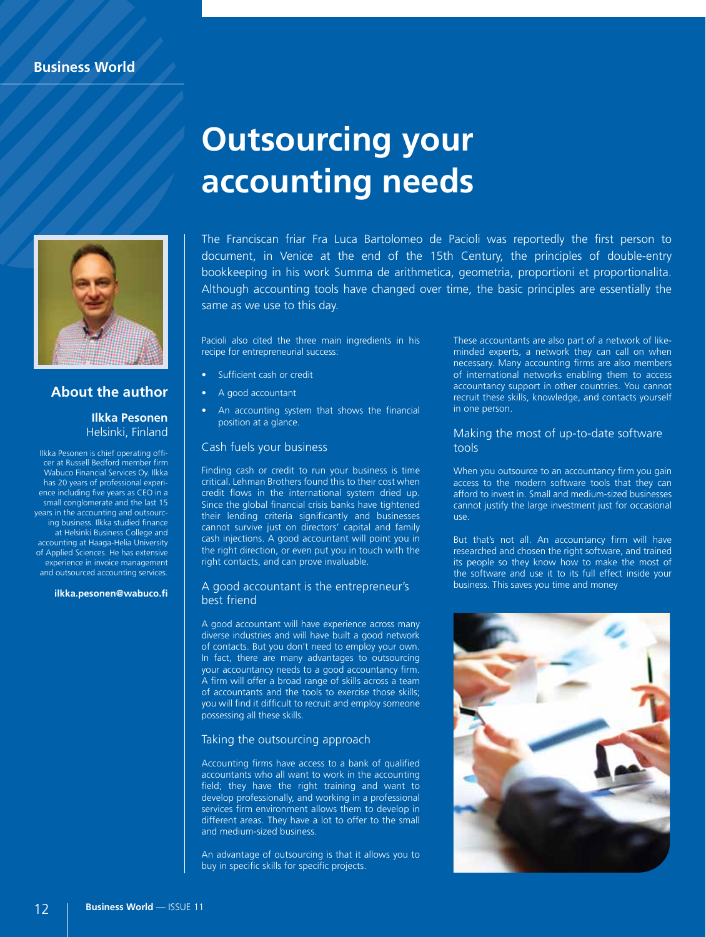

#### **About the author**

#### **Ilkka Pesonen** Helsinki, Finland

Ilkka Pesonen is chief operating officer at Russell Bedford member firm Wabuco Financial Services Oy. Ilkka has 20 years of professional experience including five years as CEO in a small conglomerate and the last 15 years in the accounting and outsourcing business. Ilkka studied finance at Helsinki Business College and accounting at Haaga-Helia University of Applied Sciences. He has extensive experience in invoice management and outsourced accounting services.

**ilkka.pesonen@wabuco.fi**

### **Outsourcing your accounting needs**

The Franciscan friar Fra Luca Bartolomeo de Pacioli was reportedly the first person to document, in Venice at the end of the 15th Century, the principles of double-entry bookkeeping in his work Summa de arithmetica, geometria, proportioni et proportionalita. Although accounting tools have changed over time, the basic principles are essentially the same as we use to this day.

Pacioli also cited the three main ingredients in his recipe for entrepreneurial success:

- Sufficient cash or credit
- A good accountant
- An accounting system that shows the financial position at a glance.

#### Cash fuels your business

Finding cash or credit to run your business is time critical. Lehman Brothers found this to their cost when credit flows in the international system dried up. Since the global financial crisis banks have tightened their lending criteria significantly and businesses cannot survive just on directors' capital and family cash injections. A good accountant will point you in the right direction, or even put you in touch with the right contacts, and can prove invaluable.

#### A good accountant is the entrepreneur's best friend

A good accountant will have experience across many diverse industries and will have built a good network of contacts. But you don't need to employ your own. In fact, there are many advantages to outsourcing your accountancy needs to a good accountancy firm. A firm will offer a broad range of skills across a team of accountants and the tools to exercise those skills; you will find it difficult to recruit and employ someone possessing all these skills.

#### Taking the outsourcing approach

Accounting firms have access to a bank of qualified accountants who all want to work in the accounting field; they have the right training and want to develop professionally, and working in a professional services firm environment allows them to develop in different areas. They have a lot to offer to the small and medium-sized business.

An advantage of outsourcing is that it allows you to buy in specific skills for specific projects.

These accountants are also part of a network of likeminded experts, a network they can call on when necessary. Many accounting firms are also members of international networks enabling them to access accountancy support in other countries. You cannot recruit these skills, knowledge, and contacts yourself in one person.

#### Making the most of up-to-date software tools

When you outsource to an accountancy firm you gain access to the modern software tools that they can afford to invest in. Small and medium-sized businesses cannot justify the large investment just for occasional use.

But that's not all. An accountancy firm will have researched and chosen the right software, and trained its people so they know how to make the most of the software and use it to its full effect inside your business. This saves you time and money

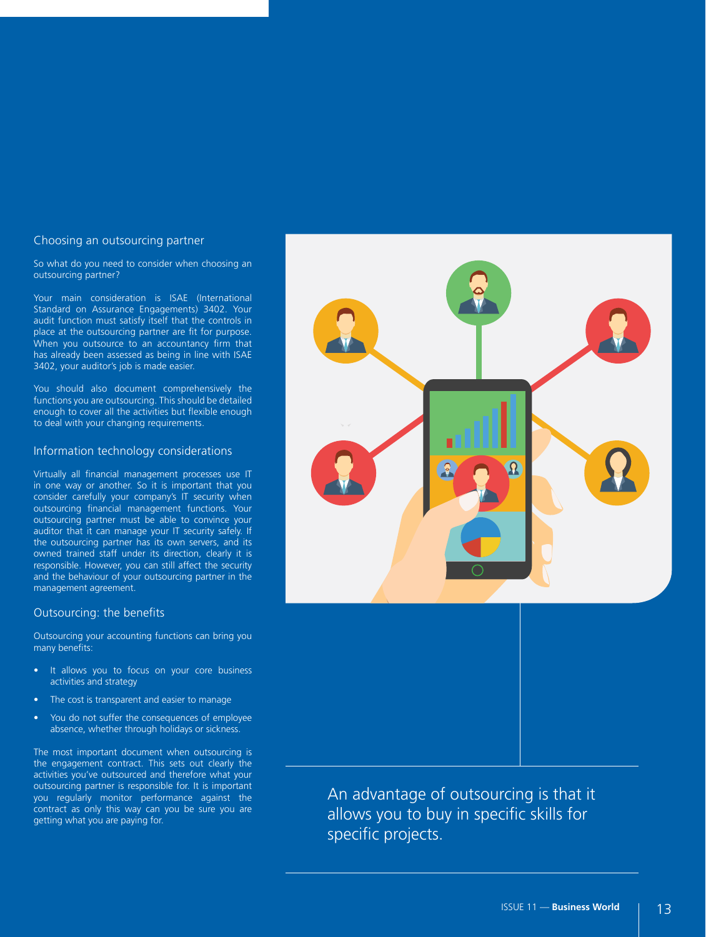#### Choosing an outsourcing partner

So what do you need to consider when choosing an outsourcing partner?

Your main consideration is ISAE (International Standard on Assurance Engagements) 3402. Your audit function must satisfy itself that the controls in place at the outsourcing partner are fit for purpose. When you outsource to an accountancy firm that has already been assessed as being in line with ISAE 3402, your auditor's job is made easier.

You should also document comprehensively the functions you are outsourcing. This should be detailed enough to cover all the activities but flexible enough to deal with your changing requirements.

#### Information technology considerations

Virtually all financial management processes use IT in one way or another. So it is important that you consider carefully your company's IT security when outsourcing financial management functions. Your outsourcing partner must be able to convince your auditor that it can manage your IT security safely. If the outsourcing partner has its own servers, and its owned trained staff under its direction, clearly it is responsible. However, you can still affect the security and the behaviour of your outsourcing partner in the management agreement.

#### Outsourcing: the benefits

Outsourcing your accounting functions can bring you many benefits:

- It allows you to focus on your core business activities and strategy
- The cost is transparent and easier to manage
- You do not suffer the consequences of employee absence, whether through holidays or sickness.

The most important document when outsourcing is the engagement contract. This sets out clearly the activities you've outsourced and therefore what your outsourcing partner is responsible for. It is important you regularly monitor performance against the contract as only this way can you be sure you are getting what you are paying for.



An advantage of outsourcing is that it allows you to buy in specific skills for specific projects.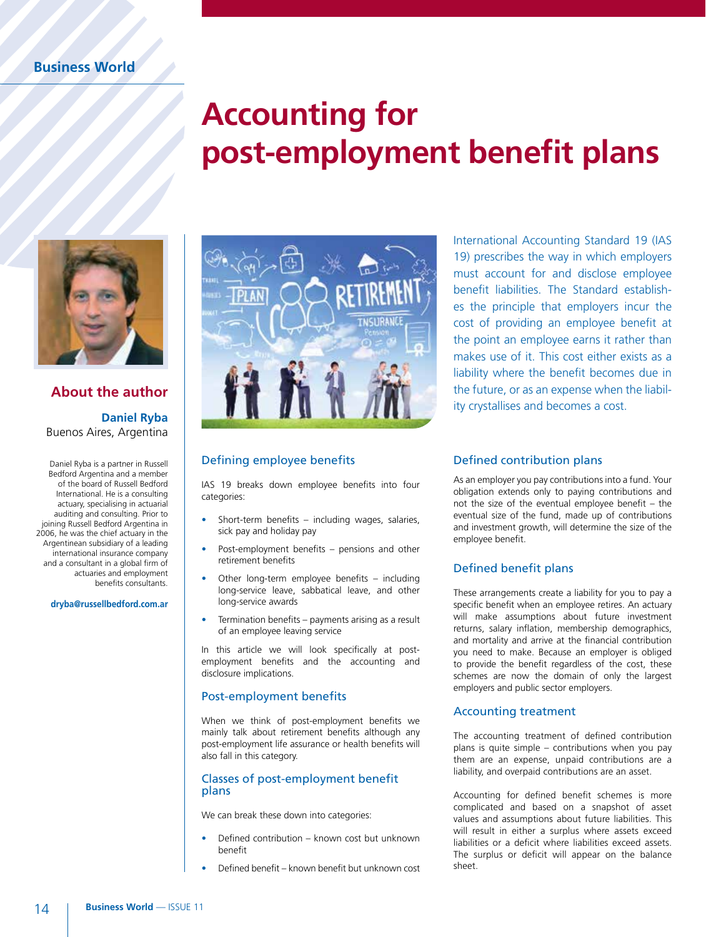### **Accounting for post-employment benefit plans**



#### **About the author Daniel Ryba** Buenos Aires, Argentina

Daniel Ryba is a partner in Russell Bedford Argentina and a member of the board of Russell Bedford International. He is a consulting actuary, specialising in actuarial auditing and consulting. Prior to joining Russell Bedford Argentina in 2006, he was the chief actuary in the Argentinean subsidiary of a leading international insurance company and a consultant in a global firm of actuaries and employment benefits consultants.

**dryba@russellbedford.com.ar** 



#### Defining employee benefits

IAS 19 breaks down employee benefits into four categories:

- Short-term benefits including wages, salaries, sick pay and holiday pay
- Post-employment benefits pensions and other retirement benefits
- Other long-term employee benefits including long-service leave, sabbatical leave, and other long-service awards
- Termination benefits payments arising as a result of an employee leaving service

In this article we will look specifically at postemployment benefits and the accounting and disclosure implications.

#### Post-employment benefits

When we think of post-employment benefits we mainly talk about retirement benefits although any post-employment life assurance or health benefits will also fall in this category.

#### Classes of post-employment benefit plans

We can break these down into categories:

- Defined contribution known cost but unknown benefit
- Defined benefit known benefit but unknown cost

International Accounting Standard 19 (IAS 19) prescribes the way in which employers must account for and disclose employee benefit liabilities. The Standard establishes the principle that employers incur the cost of providing an employee benefit at the point an employee earns it rather than makes use of it. This cost either exists as a liability where the benefit becomes due in the future, or as an expense when the liability crystallises and becomes a cost.

#### Defined contribution plans

As an employer you pay contributions into a fund. Your obligation extends only to paying contributions and not the size of the eventual employee benefit – the eventual size of the fund, made up of contributions and investment growth, will determine the size of the employee benefit.

#### Defined benefit plans

These arrangements create a liability for you to pay a specific benefit when an employee retires. An actuary will make assumptions about future investment returns, salary inflation, membership demographics, and mortality and arrive at the financial contribution you need to make. Because an employer is obliged to provide the benefit regardless of the cost, these schemes are now the domain of only the largest employers and public sector employers.

#### Accounting treatment

The accounting treatment of defined contribution plans is quite simple – contributions when you pay them are an expense, unpaid contributions are a liability, and overpaid contributions are an asset.

Accounting for defined benefit schemes is more complicated and based on a snapshot of asset values and assumptions about future liabilities. This will result in either a surplus where assets exceed liabilities or a deficit where liabilities exceed assets. The surplus or deficit will appear on the balance sheet.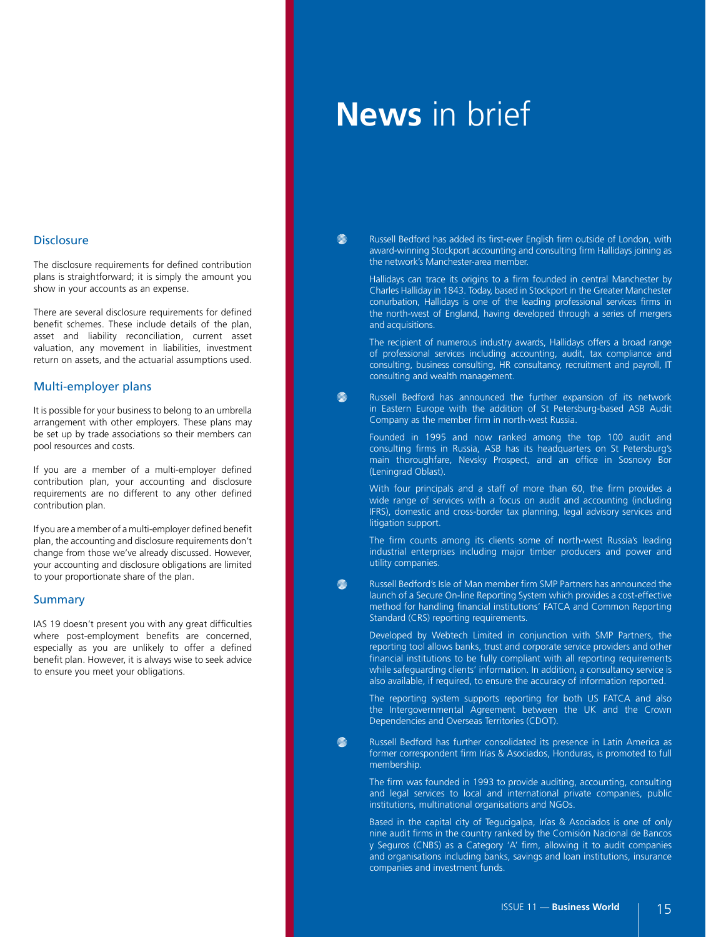#### **Disclosure**

The disclosure requirements for defined contribution plans is straightforward; it is simply the amount you show in your accounts as an expense.

There are several disclosure requirements for defined benefit schemes. These include details of the plan, asset and liability reconciliation, current asset valuation, any movement in liabilities, investment return on assets, and the actuarial assumptions used.

#### Multi-employer plans

It is possible for your business to belong to an umbrella arrangement with other employers. These plans may be set up by trade associations so their members can pool resources and costs.

If you are a member of a multi-employer defined contribution plan, your accounting and disclosure requirements are no different to any other defined contribution plan.

If you are a member of a multi-employer defined benefit plan, the accounting and disclosure requirements don't change from those we've already discussed. However, your accounting and disclosure obligations are limited to your proportionate share of the plan.

#### **Summary**

IAS 19 doesn't present you with any great difficulties where post-employment benefits are concerned, especially as you are unlikely to offer a defined benefit plan. However, it is always wise to seek advice to ensure you meet your obligations.

### **News** in brief

Mille

Milli Russell Bedford has added its first-ever English firm outside of London, with award-winning Stockport accounting and consulting firm Hallidays joining as the network's Manchester-area member.

Hallidays can trace its origins to a firm founded in central Manchester by Charles Halliday in 1843. Today, based in Stockport in the Greater Manchester conurbation, Hallidays is one of the leading professional services firms in the north-west of England, having developed through a series of mergers and acquisitions.

The recipient of numerous industry awards, Hallidays offers a broad range of professional services including accounting, audit, tax compliance and consulting, business consulting, HR consultancy, recruitment and payroll, IT consulting and wealth management.

Russell Bedford has announced the further expansion of its network in Eastern Europe with the addition of St Petersburg-based ASB Audit Company as the member firm in north-west Russia.

Founded in 1995 and now ranked among the top 100 audit and consulting firms in Russia, ASB has its headquarters on St Petersburg's main thoroughfare, Nevsky Prospect, and an office in Sosnovy Bor (Leningrad Oblast).

With four principals and a staff of more than 60, the firm provides a wide range of services with a focus on audit and accounting (including IFRS), domestic and cross-border tax planning, legal advisory services and litigation support.

The firm counts among its clients some of north-west Russia's leading industrial enterprises including major timber producers and power and utility companies.

Milli Russell Bedford's Isle of Man member firm SMP Partners has announced the launch of a Secure On-line Reporting System which provides a cost-effective method for handling financial institutions' FATCA and Common Reporting Standard (CRS) reporting requirements.

Developed by Webtech Limited in conjunction with SMP Partners, the reporting tool allows banks, trust and corporate service providers and other financial institutions to be fully compliant with all reporting requirements while safeguarding clients' information. In addition, a consultancy service is also available, if required, to ensure the accuracy of information reported.

The reporting system supports reporting for both US FATCA and also the Intergovernmental Agreement between the UK and the Crown Dependencies and Overseas Territories (CDOT).

<u>Milli</u> Russell Bedford has further consolidated its presence in Latin America as former correspondent firm Irías & Asociados, Honduras, is promoted to full membership.

The firm was founded in 1993 to provide auditing, accounting, consulting and legal services to local and international private companies, public institutions, multinational organisations and NGOs.

Based in the capital city of Tegucigalpa, Irías & Asociados is one of only nine audit firms in the country ranked by the Comisión Nacional de Bancos y Seguros (CNBS) as a Category 'A' firm, allowing it to audit companies and organisations including banks, savings and loan institutions, insurance companies and investment funds.